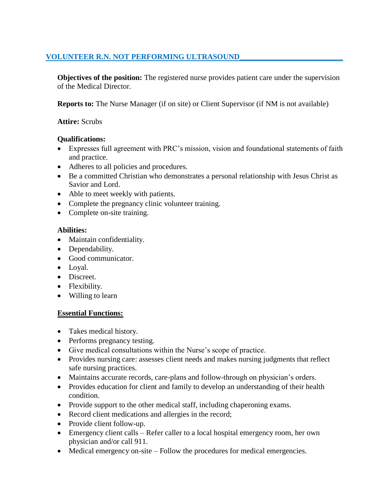# **VOLUNTEER R.N. NOT PERFORMING ULTRASOUND\_\_\_\_\_\_\_\_\_\_\_\_\_\_\_\_\_\_\_\_\_\_\_\_\_\_\_**

**Objectives of the position:** The registered nurse provides patient care under the supervision of the Medical Director.

**Reports to:** The Nurse Manager (if on site) or Client Supervisor (if NM is not available)

## **Attire:** Scrubs

## **Qualifications:**

- Expresses full agreement with PRC's mission, vision and foundational statements of faith and practice.
- Adheres to all policies and procedures.
- Be a committed Christian who demonstrates a personal relationship with Jesus Christ as Savior and Lord.
- Able to meet weekly with patients.
- Complete the pregnancy clinic volunteer training.
- Complete on-site training.

## **Abilities:**

- Maintain confidentiality.
- Dependability.
- Good communicator.
- Loyal.
- Discreet.
- Flexibility.
- Willing to learn

# **Essential Functions:**

- Takes medical history.
- Performs pregnancy testing.
- Give medical consultations within the Nurse's scope of practice.
- Provides nursing care: assesses client needs and makes nursing judgments that reflect safe nursing practices.
- Maintains accurate records, care-plans and follow-through on physician's orders.
- Provides education for client and family to develop an understanding of their health condition.
- Provide support to the other medical staff, including chaperoning exams.
- Record client medications and allergies in the record;
- Provide client follow-up.
- Emergency client calls Refer caller to a local hospital emergency room, her own physician and/or call 911.
- Medical emergency on-site Follow the procedures for medical emergencies.